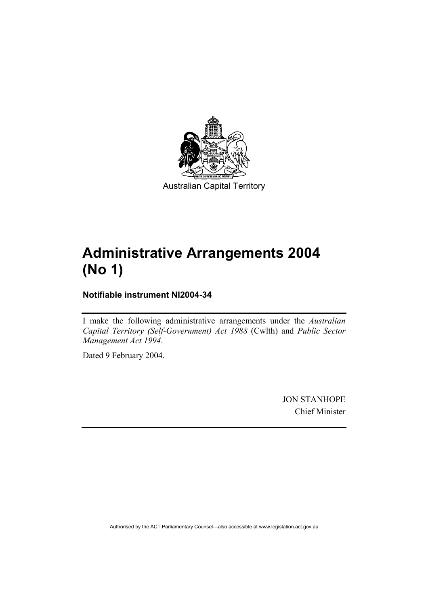

Australian Capital Territory

# **Administrative Arrangements 2004 (No 1)**

**Notifiable instrument NI2004-34** 

I make the following administrative arrangements under the *Australian Capital Territory (Self-Government) Act 1988* (Cwlth) and *Public Sector Management Act 1994*.

Dated 9 February 2004.

JON STANHOPE Chief Minister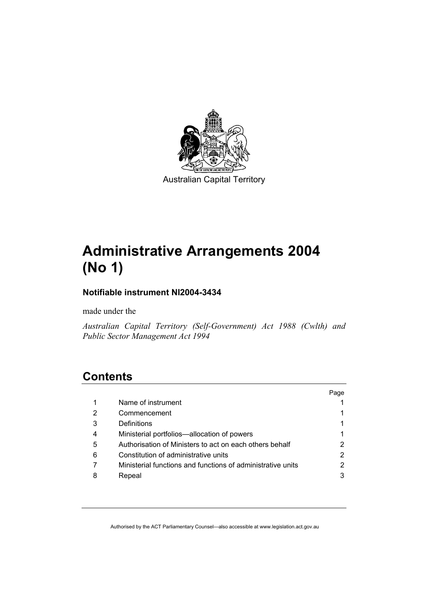

Australian Capital Territory

# **Administrative Arrangements 2004 (No 1)**

# **Notifiable instrument NI2004-3434**

made under the

*Australian Capital Territory (Self-Government) Act 1988 (Cwlth) and Public Sector Management Act 1994* 

# **Contents**

|   |                                                             | Page |
|---|-------------------------------------------------------------|------|
| 1 | Name of instrument                                          |      |
| 2 | Commencement                                                |      |
| 3 | Definitions                                                 |      |
| 4 | Ministerial portfolios—allocation of powers                 |      |
| 5 | Authorisation of Ministers to act on each others behalf     |      |
| 6 | Constitution of administrative units                        | 2    |
|   | Ministerial functions and functions of administrative units |      |
| 8 | Repeal                                                      |      |
|   |                                                             |      |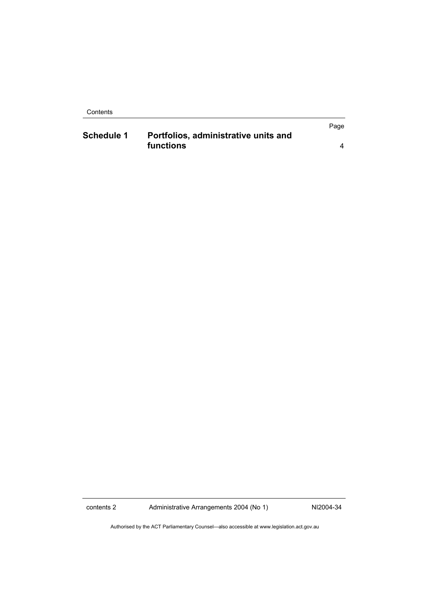Contents

|                   |                                      | Page |
|-------------------|--------------------------------------|------|
| <b>Schedule 1</b> | Portfolios, administrative units and |      |
|                   | functions                            |      |

contents 2 Administrative Arrangements 2004 (No 1) NI2004-34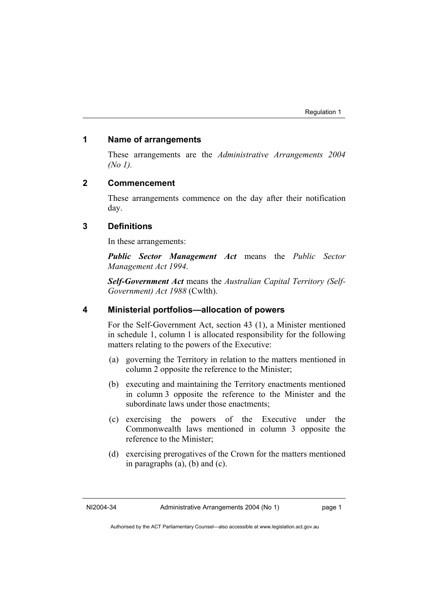#### **1 Name of arrangements**

These arrangements are the *Administrative Arrangements 2004 (No 1).*

## **2 Commencement**

These arrangements commence on the day after their notification day.

## **3 Definitions**

In these arrangements:

*Public Sector Management Act* means the *Public Sector Management Act 1994*.

*Self-Government Act* means the *Australian Capital Territory (Self-Government) Act 1988* (Cwlth).

# **4 Ministerial portfolios—allocation of powers**

For the Self-Government Act, section 43 (1), a Minister mentioned in schedule 1, column 1 is allocated responsibility for the following matters relating to the powers of the Executive:

- (a) governing the Territory in relation to the matters mentioned in column 2 opposite the reference to the Minister;
- (b) executing and maintaining the Territory enactments mentioned in column 3 opposite the reference to the Minister and the subordinate laws under those enactments;
- (c) exercising the powers of the Executive under the Commonwealth laws mentioned in column 3 opposite the reference to the Minister;
- (d) exercising prerogatives of the Crown for the matters mentioned in paragraphs (a), (b) and (c).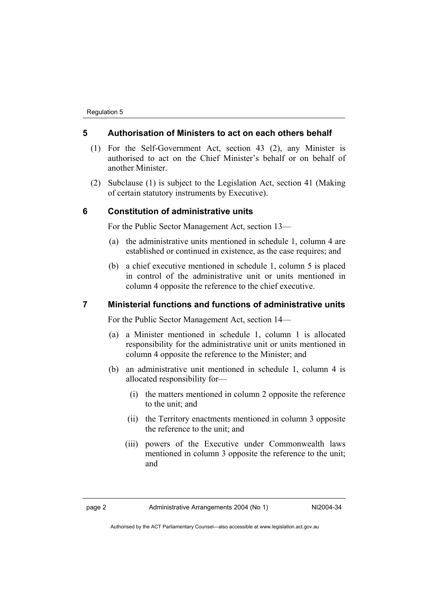## **5 Authorisation of Ministers to act on each others behalf**

- (1) For the Self-Government Act, section 43 (2), any Minister is authorised to act on the Chief Minister's behalf or on behalf of another Minister.
- (2) Subclause (1) is subject to the Legislation Act, section 41 (Making of certain statutory instruments by Executive).

#### **6 Constitution of administrative units**

For the Public Sector Management Act, section 13—

- (a) the administrative units mentioned in schedule 1, column 4 are established or continued in existence, as the case requires; and
- (b) a chief executive mentioned in schedule 1, column 5 is placed in control of the administrative unit or units mentioned in column 4 opposite the reference to the chief executive.

### **7 Ministerial functions and functions of administrative units**

For the Public Sector Management Act, section 14—

- (a) a Minister mentioned in schedule 1, column 1 is allocated responsibility for the administrative unit or units mentioned in column 4 opposite the reference to the Minister; and
- (b) an administrative unit mentioned in schedule 1, column 4 is allocated responsibility for—
	- (i) the matters mentioned in column 2 opposite the reference to the unit; and
	- (ii) the Territory enactments mentioned in column 3 opposite the reference to the unit; and
	- (iii) powers of the Executive under Commonwealth laws mentioned in column 3 opposite the reference to the unit; and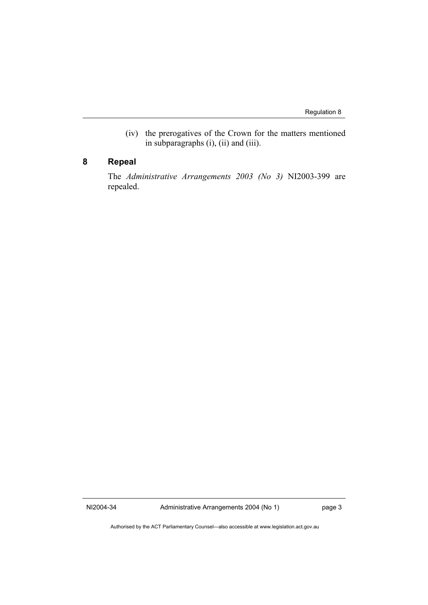(iv) the prerogatives of the Crown for the matters mentioned in subparagraphs (i), (ii) and (iii).

# **8 Repeal**

The *Administrative Arrangements 2003 (No 3)* NI2003-399 are repealed.

NI2004-34 Administrative Arrangements 2004 (No 1) page 3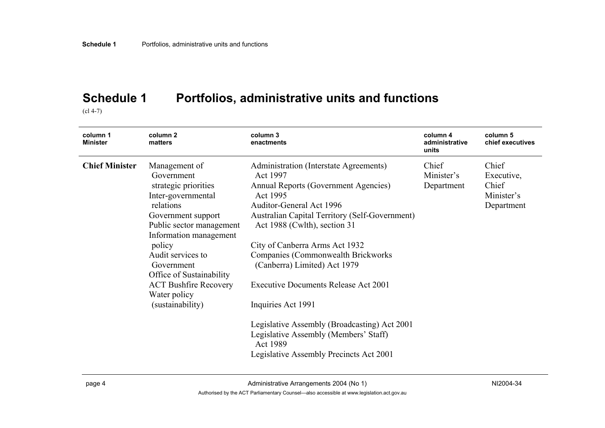# **Schedule 1 Portfolios, administrative units and functions**

 $\left( c1 4 - 7 \right)$ 

| column 1<br><b>Minister</b> | column <sub>2</sub><br>matters                                                                                                                                                                                  | column 3<br>enactments                                                                                                                                                                                                                                                                                                                      | column 4<br>administrative<br>units | column 5<br>chief executives                             |
|-----------------------------|-----------------------------------------------------------------------------------------------------------------------------------------------------------------------------------------------------------------|---------------------------------------------------------------------------------------------------------------------------------------------------------------------------------------------------------------------------------------------------------------------------------------------------------------------------------------------|-------------------------------------|----------------------------------------------------------|
| <b>Chief Minister</b>       | Management of<br>Government<br>strategic priorities<br>Inter-governmental<br>relations<br>Government support<br>Public sector management<br>Information management<br>policy<br>Audit services to<br>Government | Administration (Interstate Agreements)<br>Act 1997<br>Annual Reports (Government Agencies)<br>Act 1995<br>Auditor-General Act 1996<br><b>Australian Capital Territory (Self-Government)</b><br>Act 1988 (Cwlth), section 31<br>City of Canberra Arms Act 1932<br><b>Companies (Commonwealth Brickworks)</b><br>(Canberra) Limited) Act 1979 | Chief<br>Minister's<br>Department   | Chief<br>Executive,<br>Chief<br>Minister's<br>Department |
|                             | Office of Sustainability<br><b>ACT Bushfire Recovery</b><br>Water policy<br>(sustainability)                                                                                                                    | <b>Executive Documents Release Act 2001</b><br>Inquiries Act 1991<br>Legislative Assembly (Broadcasting) Act 2001<br>Legislative Assembly (Members' Staff)<br>Act 1989<br>Legislative Assembly Precincts Act 2001                                                                                                                           |                                     |                                                          |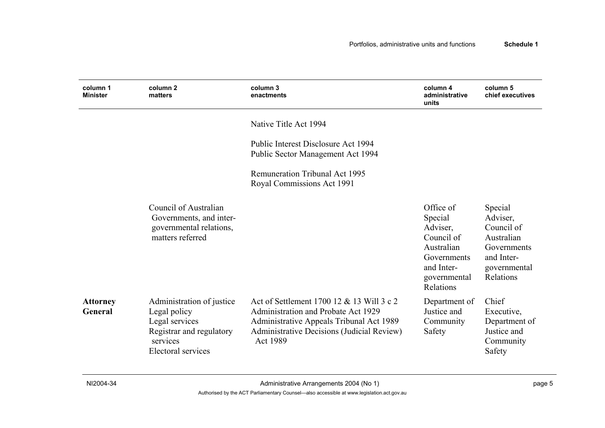| column 1<br><b>Minister</b>       | column <sub>2</sub><br>matters                                                                                                   | column 3<br>enactments                                                                                                                                                                        | column 4<br>administrative<br>units                                                                                    | column 5<br>chief executives                                                                              |
|-----------------------------------|----------------------------------------------------------------------------------------------------------------------------------|-----------------------------------------------------------------------------------------------------------------------------------------------------------------------------------------------|------------------------------------------------------------------------------------------------------------------------|-----------------------------------------------------------------------------------------------------------|
|                                   |                                                                                                                                  | Native Title Act 1994                                                                                                                                                                         |                                                                                                                        |                                                                                                           |
|                                   |                                                                                                                                  | Public Interest Disclosure Act 1994<br>Public Sector Management Act 1994                                                                                                                      |                                                                                                                        |                                                                                                           |
|                                   |                                                                                                                                  | <b>Remuneration Tribunal Act 1995</b><br>Royal Commissions Act 1991                                                                                                                           |                                                                                                                        |                                                                                                           |
|                                   | Council of Australian<br>Governments, and inter-<br>governmental relations,<br>matters referred                                  |                                                                                                                                                                                               | Office of<br>Special<br>Adviser,<br>Council of<br>Australian<br>Governments<br>and Inter-<br>governmental<br>Relations | Special<br>Adviser,<br>Council of<br>Australian<br>Governments<br>and Inter-<br>governmental<br>Relations |
| <b>Attorney</b><br><b>General</b> | Administration of justice<br>Legal policy<br>Legal services<br>Registrar and regulatory<br>services<br><b>Electoral services</b> | Act of Settlement 1700 12 & 13 Will 3 c 2<br>Administration and Probate Act 1929<br>Administrative Appeals Tribunal Act 1989<br>Administrative Decisions (Judicial Review)<br><b>Act 1989</b> | Department of<br>Justice and<br>Community<br>Safety                                                                    | Chief<br>Executive,<br>Department of<br>Justice and<br>Community<br>Safety                                |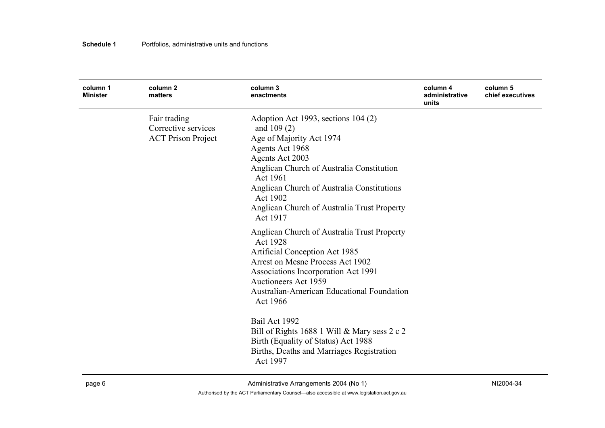| column 1<br><b>Minister</b> | column <sub>2</sub><br>matters                                   | column 3<br>enactments                                                                                                                                                                                                                                                                              | column 4<br>administrative<br>units | column 5<br>chief executives |
|-----------------------------|------------------------------------------------------------------|-----------------------------------------------------------------------------------------------------------------------------------------------------------------------------------------------------------------------------------------------------------------------------------------------------|-------------------------------------|------------------------------|
|                             | Fair trading<br>Corrective services<br><b>ACT Prison Project</b> | Adoption Act 1993, sections 104 (2)<br>and $109(2)$<br>Age of Majority Act 1974<br>Agents Act 1968<br>Agents Act 2003<br>Anglican Church of Australia Constitution<br>Act 1961<br>Anglican Church of Australia Constitutions<br>Act 1902<br>Anglican Church of Australia Trust Property<br>Act 1917 |                                     |                              |
|                             |                                                                  | Anglican Church of Australia Trust Property<br>Act 1928<br>Artificial Conception Act 1985<br>Arrest on Mesne Process Act 1902<br>Associations Incorporation Act 1991<br><b>Auctioneers Act 1959</b><br>Australian-American Educational Foundation<br>Act 1966                                       |                                     |                              |
|                             |                                                                  | Bail Act 1992<br>Bill of Rights 1688 1 Will & Mary sess 2 c 2<br>Birth (Equality of Status) Act 1988<br>Births, Deaths and Marriages Registration<br>Act 1997                                                                                                                                       |                                     |                              |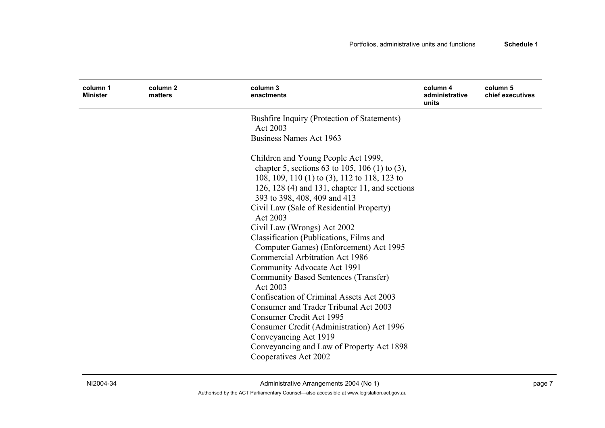| column 1<br><b>Minister</b> | column 2<br>matters | column 3<br>enactments                                                                                                                                                                                                                                                                                                                                                                                                                          | column 4<br>administrative<br>units | column 5<br>chief executives |
|-----------------------------|---------------------|-------------------------------------------------------------------------------------------------------------------------------------------------------------------------------------------------------------------------------------------------------------------------------------------------------------------------------------------------------------------------------------------------------------------------------------------------|-------------------------------------|------------------------------|
|                             |                     | Bushfire Inquiry (Protection of Statements)<br>Act 2003                                                                                                                                                                                                                                                                                                                                                                                         |                                     |                              |
|                             |                     | Business Names Act 1963                                                                                                                                                                                                                                                                                                                                                                                                                         |                                     |                              |
|                             |                     | Children and Young People Act 1999,<br>chapter 5, sections 63 to 105, 106 (1) to (3),<br>108, 109, 110 (1) to (3), 112 to 118, 123 to<br>126, 128 $(4)$ and 131, chapter 11, and sections<br>393 to 398, 408, 409 and 413<br>Civil Law (Sale of Residential Property)<br>Act 2003<br>Civil Law (Wrongs) Act 2002<br>Classification (Publications, Films and<br>Computer Games) (Enforcement) Act 1995<br><b>Commercial Arbitration Act 1986</b> |                                     |                              |
|                             |                     | Community Advocate Act 1991<br><b>Community Based Sentences (Transfer)</b>                                                                                                                                                                                                                                                                                                                                                                      |                                     |                              |
|                             |                     | Act 2003<br>Confiscation of Criminal Assets Act 2003                                                                                                                                                                                                                                                                                                                                                                                            |                                     |                              |
|                             |                     | Consumer and Trader Tribunal Act 2003                                                                                                                                                                                                                                                                                                                                                                                                           |                                     |                              |
|                             |                     | Consumer Credit Act 1995<br>Consumer Credit (Administration) Act 1996<br>Conveyancing Act 1919                                                                                                                                                                                                                                                                                                                                                  |                                     |                              |
|                             |                     | Conveyancing and Law of Property Act 1898<br>Cooperatives Act 2002                                                                                                                                                                                                                                                                                                                                                                              |                                     |                              |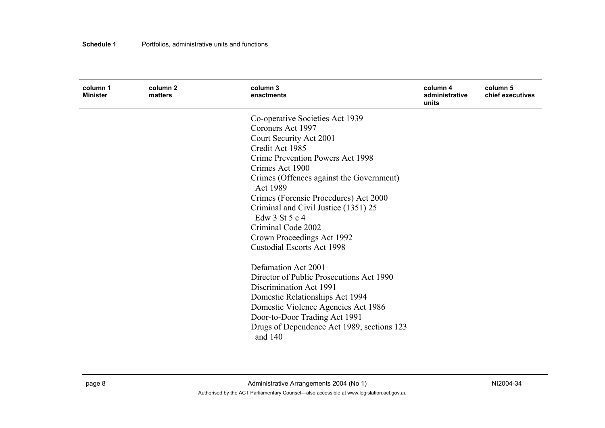| column 1<br><b>Minister</b> | column 2<br>matters | column 3<br>enactments                               | column 4<br>administrative<br>units | column 5<br>chief executives |
|-----------------------------|---------------------|------------------------------------------------------|-------------------------------------|------------------------------|
|                             |                     | Co-operative Societies Act 1939                      |                                     |                              |
|                             |                     | Coroners Act 1997                                    |                                     |                              |
|                             |                     | Court Security Act 2001                              |                                     |                              |
|                             |                     | Credit Act 1985                                      |                                     |                              |
|                             |                     | Crime Prevention Powers Act 1998                     |                                     |                              |
|                             |                     | Crimes Act 1900                                      |                                     |                              |
|                             |                     | Crimes (Offences against the Government)<br>Act 1989 |                                     |                              |
|                             |                     | Crimes (Forensic Procedures) Act 2000                |                                     |                              |
|                             |                     | Criminal and Civil Justice (1351) 25                 |                                     |                              |
|                             |                     | Edw 3 St 5 c 4                                       |                                     |                              |
|                             |                     | Criminal Code 2002                                   |                                     |                              |
|                             |                     | Crown Proceedings Act 1992                           |                                     |                              |
|                             |                     | <b>Custodial Escorts Act 1998</b>                    |                                     |                              |
|                             |                     | Defamation Act 2001                                  |                                     |                              |
|                             |                     | Director of Public Prosecutions Act 1990             |                                     |                              |
|                             |                     | Discrimination Act 1991                              |                                     |                              |
|                             |                     | Domestic Relationships Act 1994                      |                                     |                              |
|                             |                     | Domestic Violence Agencies Act 1986                  |                                     |                              |
|                             |                     | Door-to-Door Trading Act 1991                        |                                     |                              |
|                             |                     | Drugs of Dependence Act 1989, sections 123           |                                     |                              |
|                             |                     | and 140                                              |                                     |                              |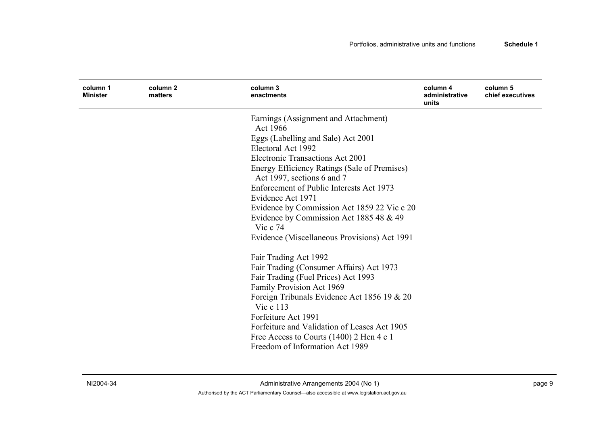| column 1<br><b>Minister</b> | column 2<br>matters | column 3<br>enactments                                | column 4<br>administrative<br>units | column 5<br>chief executives |
|-----------------------------|---------------------|-------------------------------------------------------|-------------------------------------|------------------------------|
|                             |                     | Earnings (Assignment and Attachment)                  |                                     |                              |
|                             |                     | Act 1966                                              |                                     |                              |
|                             |                     | Eggs (Labelling and Sale) Act 2001                    |                                     |                              |
|                             |                     | Electoral Act 1992                                    |                                     |                              |
|                             |                     | <b>Electronic Transactions Act 2001</b>               |                                     |                              |
|                             |                     | Energy Efficiency Ratings (Sale of Premises)          |                                     |                              |
|                             |                     | Act 1997, sections 6 and 7                            |                                     |                              |
|                             |                     | Enforcement of Public Interests Act 1973              |                                     |                              |
|                             |                     | Evidence Act 1971                                     |                                     |                              |
|                             |                     | Evidence by Commission Act 1859 22 Vic c 20           |                                     |                              |
|                             |                     | Evidence by Commission Act 1885 48 & 49<br>Vic $c$ 74 |                                     |                              |
|                             |                     | Evidence (Miscellaneous Provisions) Act 1991          |                                     |                              |
|                             |                     | Fair Trading Act 1992                                 |                                     |                              |
|                             |                     | Fair Trading (Consumer Affairs) Act 1973              |                                     |                              |
|                             |                     | Fair Trading (Fuel Prices) Act 1993                   |                                     |                              |
|                             |                     | Family Provision Act 1969                             |                                     |                              |
|                             |                     | Foreign Tribunals Evidence Act 1856 19 & 20           |                                     |                              |
|                             |                     | Vic c 113                                             |                                     |                              |
|                             |                     | Forfeiture Act 1991                                   |                                     |                              |
|                             |                     | Forfeiture and Validation of Leases Act 1905          |                                     |                              |
|                             |                     | Free Access to Courts (1400) 2 Hen 4 c 1              |                                     |                              |
|                             |                     | Freedom of Information Act 1989                       |                                     |                              |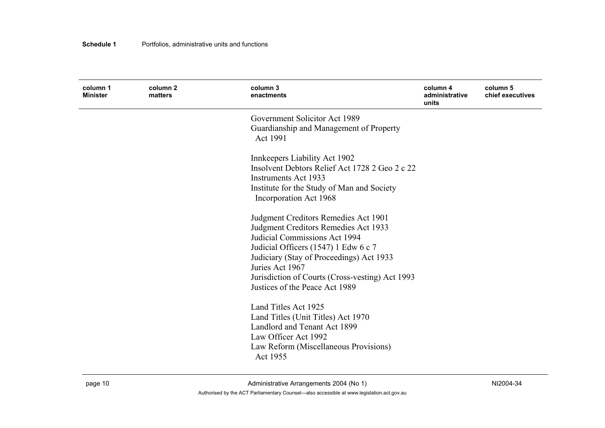| column 1<br><b>Minister</b> | column <sub>2</sub><br>matters | column 3<br>enactments                                                                                                                                                                                                                                                                                    | column 4<br>administrative<br>units | column 5<br>chief executives |
|-----------------------------|--------------------------------|-----------------------------------------------------------------------------------------------------------------------------------------------------------------------------------------------------------------------------------------------------------------------------------------------------------|-------------------------------------|------------------------------|
|                             |                                | Government Solicitor Act 1989<br>Guardianship and Management of Property<br>Act 1991                                                                                                                                                                                                                      |                                     |                              |
|                             |                                | Innkeepers Liability Act 1902<br>Insolvent Debtors Relief Act 1728 2 Geo 2 c 22<br>Instruments Act 1933<br>Institute for the Study of Man and Society<br>Incorporation Act 1968                                                                                                                           |                                     |                              |
|                             |                                | Judgment Creditors Remedies Act 1901<br>Judgment Creditors Remedies Act 1933<br>Judicial Commissions Act 1994<br>Judicial Officers (1547) 1 Edw 6 c 7<br>Judiciary (Stay of Proceedings) Act 1933<br>Juries Act 1967<br>Jurisdiction of Courts (Cross-vesting) Act 1993<br>Justices of the Peace Act 1989 |                                     |                              |
|                             |                                | Land Titles Act 1925<br>Land Titles (Unit Titles) Act 1970<br>Landlord and Tenant Act 1899<br>Law Officer Act 1992<br>Law Reform (Miscellaneous Provisions)<br>Act 1955                                                                                                                                   |                                     |                              |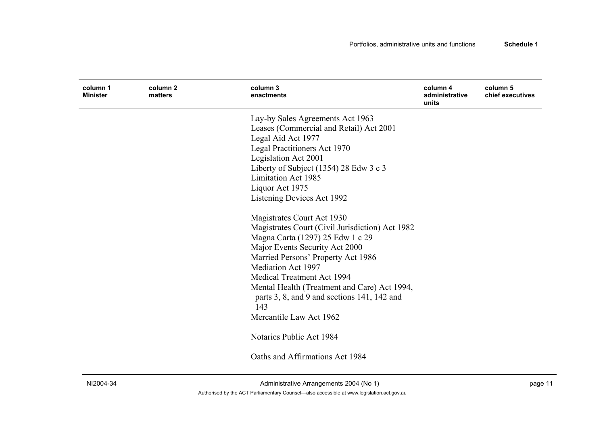| column 1<br><b>Minister</b> | column 2<br>matters | column <sub>3</sub><br>enactments               | column 4<br>administrative<br>units | column 5<br>chief executives |
|-----------------------------|---------------------|-------------------------------------------------|-------------------------------------|------------------------------|
|                             |                     | Lay-by Sales Agreements Act 1963                |                                     |                              |
|                             |                     | Leases (Commercial and Retail) Act 2001         |                                     |                              |
|                             |                     | Legal Aid Act 1977                              |                                     |                              |
|                             |                     | Legal Practitioners Act 1970                    |                                     |                              |
|                             |                     | Legislation Act 2001                            |                                     |                              |
|                             |                     | Liberty of Subject (1354) 28 Edw 3 c 3          |                                     |                              |
|                             |                     | <b>Limitation Act 1985</b>                      |                                     |                              |
|                             |                     | Liquor Act 1975                                 |                                     |                              |
|                             |                     | Listening Devices Act 1992                      |                                     |                              |
|                             |                     | Magistrates Court Act 1930                      |                                     |                              |
|                             |                     | Magistrates Court (Civil Jurisdiction) Act 1982 |                                     |                              |
|                             |                     | Magna Carta (1297) 25 Edw 1 c 29                |                                     |                              |
|                             |                     | Major Events Security Act 2000                  |                                     |                              |
|                             |                     | Married Persons' Property Act 1986              |                                     |                              |
|                             |                     | <b>Mediation Act 1997</b>                       |                                     |                              |
|                             |                     | Medical Treatment Act 1994                      |                                     |                              |
|                             |                     | Mental Health (Treatment and Care) Act 1994,    |                                     |                              |
|                             |                     | parts 3, 8, and 9 and sections 141, 142 and     |                                     |                              |
|                             |                     | 143                                             |                                     |                              |
|                             |                     | Mercantile Law Act 1962                         |                                     |                              |
|                             |                     | Notaries Public Act 1984                        |                                     |                              |
|                             |                     | Oaths and Affirmations Act 1984                 |                                     |                              |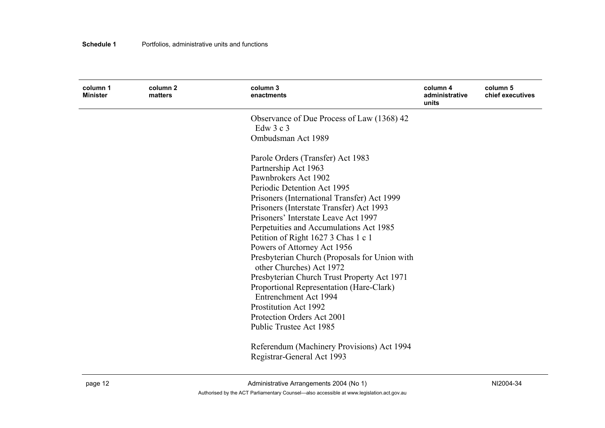| column 1<br><b>Minister</b> | column 2<br>matters | column 3<br>enactments                                                                  | column 4<br>administrative<br>units | column 5<br>chief executives |
|-----------------------------|---------------------|-----------------------------------------------------------------------------------------|-------------------------------------|------------------------------|
|                             |                     | Observance of Due Process of Law (1368) 42                                              |                                     |                              |
|                             |                     | Edw $3c3$                                                                               |                                     |                              |
|                             |                     | Ombudsman Act 1989                                                                      |                                     |                              |
|                             |                     | Parole Orders (Transfer) Act 1983                                                       |                                     |                              |
|                             |                     | Partnership Act 1963                                                                    |                                     |                              |
|                             |                     | Pawnbrokers Act 1902                                                                    |                                     |                              |
|                             |                     | Periodic Detention Act 1995                                                             |                                     |                              |
|                             |                     | Prisoners (International Transfer) Act 1999                                             |                                     |                              |
|                             |                     | Prisoners (Interstate Transfer) Act 1993                                                |                                     |                              |
|                             |                     | Prisoners' Interstate Leave Act 1997                                                    |                                     |                              |
|                             |                     | Perpetuities and Accumulations Act 1985                                                 |                                     |                              |
|                             |                     | Petition of Right 1627 3 Chas 1 c 1                                                     |                                     |                              |
|                             |                     | Powers of Attorney Act 1956                                                             |                                     |                              |
|                             |                     | Presbyterian Church (Proposals for Union with                                           |                                     |                              |
|                             |                     | other Churches) Act 1972                                                                |                                     |                              |
|                             |                     | Presbyterian Church Trust Property Act 1971<br>Proportional Representation (Hare-Clark) |                                     |                              |
|                             |                     | <b>Entrenchment Act 1994</b>                                                            |                                     |                              |
|                             |                     | <b>Prostitution Act 1992</b>                                                            |                                     |                              |
|                             |                     | Protection Orders Act 2001                                                              |                                     |                              |
|                             |                     | Public Trustee Act 1985                                                                 |                                     |                              |
|                             |                     | Referendum (Machinery Provisions) Act 1994                                              |                                     |                              |
|                             |                     | Registrar-General Act 1993                                                              |                                     |                              |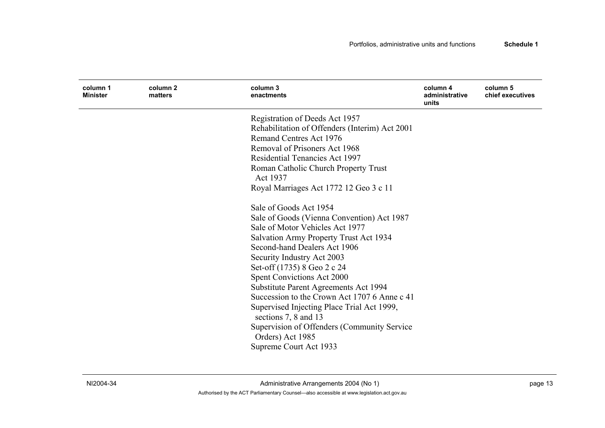| column 1<br><b>Minister</b> | column 2<br>matters | column 3<br>enactments                                             | column 4<br>administrative<br>units | column 5<br>chief executives |
|-----------------------------|---------------------|--------------------------------------------------------------------|-------------------------------------|------------------------------|
|                             |                     | Registration of Deeds Act 1957                                     |                                     |                              |
|                             |                     | Rehabilitation of Offenders (Interim) Act 2001                     |                                     |                              |
|                             |                     | <b>Remand Centres Act 1976</b>                                     |                                     |                              |
|                             |                     | Removal of Prisoners Act 1968                                      |                                     |                              |
|                             |                     | Residential Tenancies Act 1997                                     |                                     |                              |
|                             |                     | Roman Catholic Church Property Trust<br>Act 1937                   |                                     |                              |
|                             |                     | Royal Marriages Act 1772 12 Geo 3 c 11                             |                                     |                              |
|                             |                     | Sale of Goods Act 1954                                             |                                     |                              |
|                             |                     | Sale of Goods (Vienna Convention) Act 1987                         |                                     |                              |
|                             |                     | Sale of Motor Vehicles Act 1977                                    |                                     |                              |
|                             |                     | Salvation Army Property Trust Act 1934                             |                                     |                              |
|                             |                     | Second-hand Dealers Act 1906                                       |                                     |                              |
|                             |                     | Security Industry Act 2003                                         |                                     |                              |
|                             |                     | Set-off (1735) 8 Geo 2 c 24                                        |                                     |                              |
|                             |                     | Spent Convictions Act 2000                                         |                                     |                              |
|                             |                     | Substitute Parent Agreements Act 1994                              |                                     |                              |
|                             |                     | Succession to the Crown Act 1707 6 Anne c 41                       |                                     |                              |
|                             |                     | Supervised Injecting Place Trial Act 1999,<br>sections 7, 8 and 13 |                                     |                              |
|                             |                     | Supervision of Offenders (Community Service)                       |                                     |                              |
|                             |                     | Orders) Act 1985                                                   |                                     |                              |
|                             |                     | Supreme Court Act 1933                                             |                                     |                              |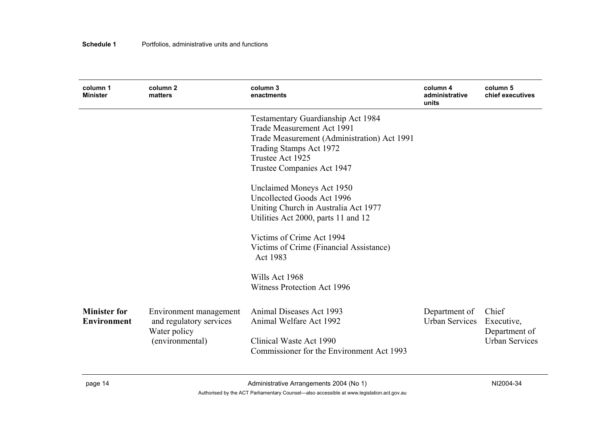| column 1<br><b>Minister</b>        | column <sub>2</sub><br>matters                                                       | column 3<br>enactments                                                                                                                                                                       | column 4<br>administrative<br>units    | column 5<br>chief executives                                  |
|------------------------------------|--------------------------------------------------------------------------------------|----------------------------------------------------------------------------------------------------------------------------------------------------------------------------------------------|----------------------------------------|---------------------------------------------------------------|
|                                    |                                                                                      | Testamentary Guardianship Act 1984<br>Trade Measurement Act 1991<br>Trade Measurement (Administration) Act 1991<br>Trading Stamps Act 1972<br>Trustee Act 1925<br>Trustee Companies Act 1947 |                                        |                                                               |
|                                    |                                                                                      | Unclaimed Moneys Act 1950<br>Uncollected Goods Act 1996<br>Uniting Church in Australia Act 1977<br>Utilities Act 2000, parts 11 and 12                                                       |                                        |                                                               |
|                                    |                                                                                      | Victims of Crime Act 1994<br>Victims of Crime (Financial Assistance)<br>Act 1983                                                                                                             |                                        |                                                               |
|                                    |                                                                                      | Wills Act 1968<br>Witness Protection Act 1996                                                                                                                                                |                                        |                                                               |
| <b>Minister for</b><br>Environment | Environment management<br>and regulatory services<br>Water policy<br>(environmental) | Animal Diseases Act 1993<br>Animal Welfare Act 1992<br>Clinical Waste Act 1990<br>Commissioner for the Environment Act 1993                                                                  | Department of<br><b>Urban Services</b> | Chief<br>Executive,<br>Department of<br><b>Urban Services</b> |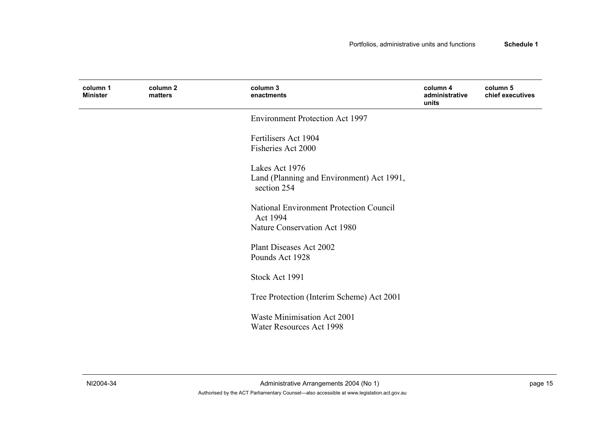| column 1<br><b>Minister</b> | column 2<br>matters | column 3<br>enactments                                                                     | column 4<br>administrative<br>units | column 5<br>chief executives |
|-----------------------------|---------------------|--------------------------------------------------------------------------------------------|-------------------------------------|------------------------------|
|                             |                     | <b>Environment Protection Act 1997</b>                                                     |                                     |                              |
|                             |                     | Fertilisers Act 1904<br>Fisheries Act 2000                                                 |                                     |                              |
|                             |                     | Lakes Act 1976<br>Land (Planning and Environment) Act 1991,<br>section 254                 |                                     |                              |
|                             |                     | <b>National Environment Protection Council</b><br>Act 1994<br>Nature Conservation Act 1980 |                                     |                              |
|                             |                     | Plant Diseases Act 2002<br>Pounds Act 1928                                                 |                                     |                              |
|                             |                     | Stock Act 1991                                                                             |                                     |                              |
|                             |                     | Tree Protection (Interim Scheme) Act 2001                                                  |                                     |                              |
|                             |                     | Waste Minimisation Act 2001<br>Water Resources Act 1998                                    |                                     |                              |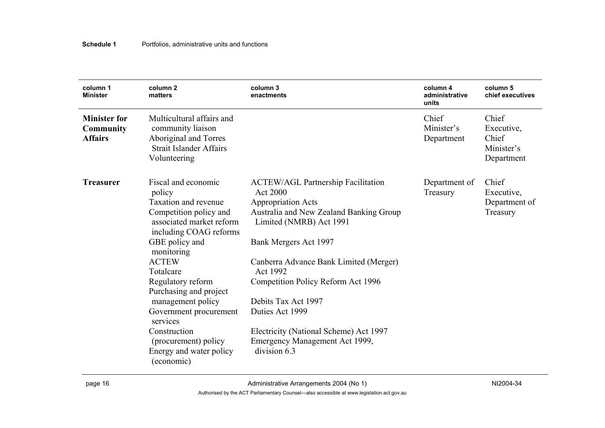| column 1<br><b>Minister</b>                               | column 2<br>matters                                                                                                                                                                                                                                                                                                                                                                           | column 3<br>enactments                                                                                                                                                                                                                                                                                                                                                                                                     | column 4<br>administrative<br>units | column 5<br>chief executives                             |
|-----------------------------------------------------------|-----------------------------------------------------------------------------------------------------------------------------------------------------------------------------------------------------------------------------------------------------------------------------------------------------------------------------------------------------------------------------------------------|----------------------------------------------------------------------------------------------------------------------------------------------------------------------------------------------------------------------------------------------------------------------------------------------------------------------------------------------------------------------------------------------------------------------------|-------------------------------------|----------------------------------------------------------|
| <b>Minister for</b><br><b>Community</b><br><b>Affairs</b> | Multicultural affairs and<br>community liaison<br>Aboriginal and Torres<br><b>Strait Islander Affairs</b><br>Volunteering                                                                                                                                                                                                                                                                     |                                                                                                                                                                                                                                                                                                                                                                                                                            | Chief<br>Minister's<br>Department   | Chief<br>Executive,<br>Chief<br>Minister's<br>Department |
| <b>Treasurer</b>                                          | Fiscal and economic<br>policy<br>Taxation and revenue<br>Competition policy and<br>associated market reform<br>including COAG reforms<br>GBE policy and<br>monitoring<br><b>ACTEW</b><br>Totalcare<br>Regulatory reform<br>Purchasing and project<br>management policy<br>Government procurement<br>services<br>Construction<br>(procurement) policy<br>Energy and water policy<br>(economic) | <b>ACTEW/AGL Partnership Facilitation</b><br><b>Act 2000</b><br><b>Appropriation Acts</b><br>Australia and New Zealand Banking Group<br>Limited (NMRB) Act 1991<br>Bank Mergers Act 1997<br>Canberra Advance Bank Limited (Merger)<br>Act 1992<br>Competition Policy Reform Act 1996<br>Debits Tax Act 1997<br>Duties Act 1999<br>Electricity (National Scheme) Act 1997<br>Emergency Management Act 1999,<br>division 6.3 | Department of<br>Treasury           | Chief<br>Executive,<br>Department of<br>Treasury         |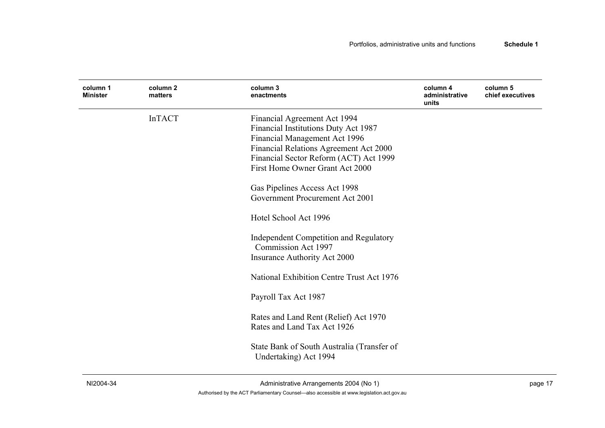| column 1<br><b>Minister</b> | column <sub>2</sub><br>matters | column 3<br>enactments                                                                                                                                                                                                                                                                                                                                                                                                                                                                                                                                                                                                | column 4<br>administrative<br>units | column 5<br>chief executives |
|-----------------------------|--------------------------------|-----------------------------------------------------------------------------------------------------------------------------------------------------------------------------------------------------------------------------------------------------------------------------------------------------------------------------------------------------------------------------------------------------------------------------------------------------------------------------------------------------------------------------------------------------------------------------------------------------------------------|-------------------------------------|------------------------------|
|                             | <b>InTACT</b>                  | Financial Agreement Act 1994<br>Financial Institutions Duty Act 1987<br>Financial Management Act 1996<br>Financial Relations Agreement Act 2000<br>Financial Sector Reform (ACT) Act 1999<br>First Home Owner Grant Act 2000<br>Gas Pipelines Access Act 1998<br>Government Procurement Act 2001<br>Hotel School Act 1996<br>Independent Competition and Regulatory<br>Commission Act 1997<br>Insurance Authority Act 2000<br>National Exhibition Centre Trust Act 1976<br>Payroll Tax Act 1987<br>Rates and Land Rent (Relief) Act 1970<br>Rates and Land Tax Act 1926<br>State Bank of South Australia (Transfer of |                                     |                              |
|                             |                                | Undertaking) Act 1994                                                                                                                                                                                                                                                                                                                                                                                                                                                                                                                                                                                                 |                                     |                              |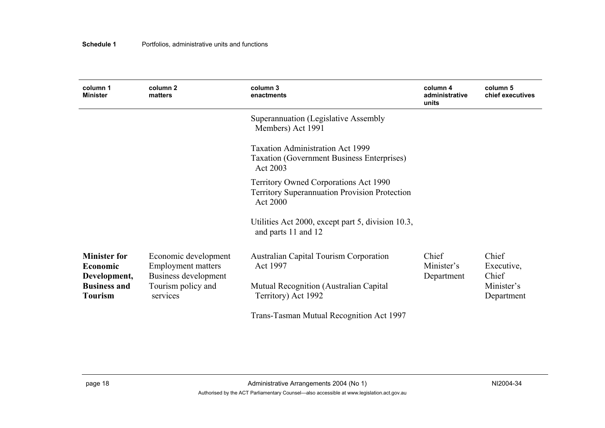| column 1<br><b>Minister</b>                            | column <sub>2</sub><br>matters                                            | column 3<br>enactments                                                                                                  | column 4<br>administrative<br>units | column 5<br>chief executives |
|--------------------------------------------------------|---------------------------------------------------------------------------|-------------------------------------------------------------------------------------------------------------------------|-------------------------------------|------------------------------|
|                                                        |                                                                           | Superannuation (Legislative Assembly<br>Members) Act 1991                                                               |                                     |                              |
|                                                        |                                                                           | <b>Taxation Administration Act 1999</b><br><b>Taxation (Government Business Enterprises)</b><br>Act 2003                |                                     |                              |
|                                                        |                                                                           | <b>Territory Owned Corporations Act 1990</b><br><b>Territory Superannuation Provision Protection</b><br><b>Act 2000</b> |                                     |                              |
|                                                        |                                                                           | Utilities Act 2000, except part 5, division 10.3,<br>and parts 11 and 12                                                |                                     |                              |
| <b>Minister for</b><br><b>Economic</b><br>Development, | Economic development<br><b>Employment matters</b><br>Business development | <b>Australian Capital Tourism Corporation</b><br>Act 1997                                                               | Chief<br>Minister's<br>Department   | Chief<br>Executive,<br>Chief |
| <b>Business and</b><br><b>Tourism</b>                  | Tourism policy and<br>services                                            | Mutual Recognition (Australian Capital<br>Territory) Act 1992                                                           |                                     | Minister's<br>Department     |
|                                                        |                                                                           | Trans-Tasman Mutual Recognition Act 1997                                                                                |                                     |                              |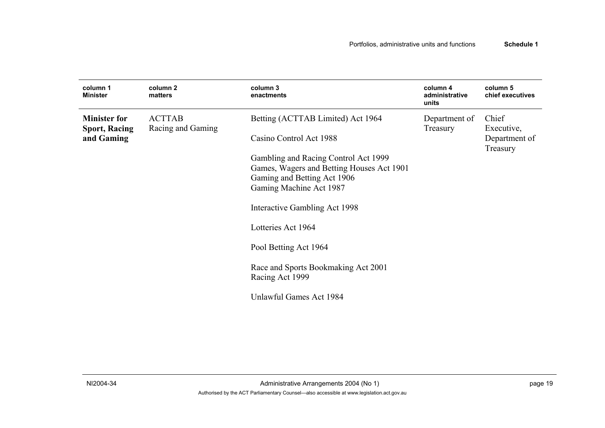| column 1<br><b>Minister</b>                 | column 2<br>matters                | column <sub>3</sub><br>enactments                                                                                                           | column 4<br>administrative<br>units | column 5<br>chief executives |
|---------------------------------------------|------------------------------------|---------------------------------------------------------------------------------------------------------------------------------------------|-------------------------------------|------------------------------|
| <b>Minister for</b><br><b>Sport, Racing</b> | <b>ACTTAB</b><br>Racing and Gaming | Betting (ACTTAB Limited) Act 1964                                                                                                           | Department of<br>Treasury           | Chief<br>Executive,          |
| and Gaming                                  |                                    | Casino Control Act 1988                                                                                                                     |                                     | Department of<br>Treasury    |
|                                             |                                    | Gambling and Racing Control Act 1999<br>Games, Wagers and Betting Houses Act 1901<br>Gaming and Betting Act 1906<br>Gaming Machine Act 1987 |                                     |                              |
|                                             |                                    | Interactive Gambling Act 1998                                                                                                               |                                     |                              |
|                                             |                                    | Lotteries Act 1964                                                                                                                          |                                     |                              |
|                                             |                                    | Pool Betting Act 1964                                                                                                                       |                                     |                              |
|                                             |                                    | Race and Sports Bookmaking Act 2001<br>Racing Act 1999                                                                                      |                                     |                              |
|                                             |                                    | Unlawful Games Act 1984                                                                                                                     |                                     |                              |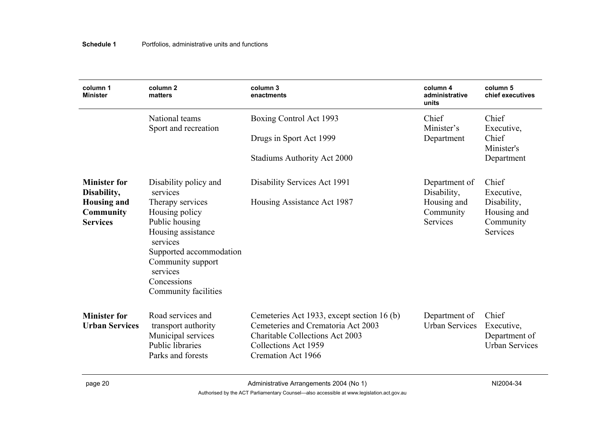| column 1<br><b>Minister</b>                               | column <sub>2</sub><br>matters                                                                                                                                                            | column 3<br>enactments                                                                                                                                                          | column 4<br>administrative<br>units         | column 5<br>chief executives                                  |
|-----------------------------------------------------------|-------------------------------------------------------------------------------------------------------------------------------------------------------------------------------------------|---------------------------------------------------------------------------------------------------------------------------------------------------------------------------------|---------------------------------------------|---------------------------------------------------------------|
|                                                           | National teams<br>Sport and recreation                                                                                                                                                    | Boxing Control Act 1993                                                                                                                                                         | Chief<br>Minister's                         | Chief<br>Executive,<br>Chief                                  |
|                                                           |                                                                                                                                                                                           | Drugs in Sport Act 1999                                                                                                                                                         | Department                                  | Minister's<br>Department                                      |
|                                                           |                                                                                                                                                                                           | Stadiums Authority Act 2000                                                                                                                                                     |                                             |                                                               |
| <b>Minister for</b><br>Disability,                        | Disability policy and<br>services                                                                                                                                                         | Disability Services Act 1991                                                                                                                                                    | Department of<br>Disability,                | Chief<br>Executive,                                           |
| <b>Housing and</b><br><b>Community</b><br><b>Services</b> | Therapy services<br>Housing policy<br>Public housing<br>Housing assistance<br>services<br>Supported accommodation<br>Community support<br>services<br>Concessions<br>Community facilities | Housing Assistance Act 1987                                                                                                                                                     | Housing and<br>Community<br><b>Services</b> | Disability,<br>Housing and<br>Community<br>Services           |
| <b>Minister for</b><br><b>Urban Services</b>              | Road services and<br>transport authority<br>Municipal services<br><b>Public libraries</b><br>Parks and forests                                                                            | Cemeteries Act 1933, except section 16 (b)<br>Cemeteries and Crematoria Act 2003<br><b>Charitable Collections Act 2003</b><br>Collections Act 1959<br><b>Cremation Act 1966</b> | Department of<br><b>Urban Services</b>      | Chief<br>Executive,<br>Department of<br><b>Urban Services</b> |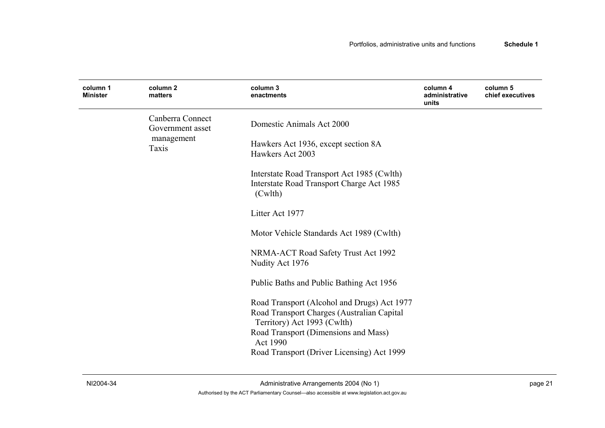| column 1<br><b>Minister</b> | column 2<br>matters                  | column 3<br>enactments                                                                                                                                           | column 4<br>administrative<br>units | column 5<br>chief executives |
|-----------------------------|--------------------------------------|------------------------------------------------------------------------------------------------------------------------------------------------------------------|-------------------------------------|------------------------------|
|                             | Canberra Connect<br>Government asset | Domestic Animals Act 2000                                                                                                                                        |                                     |                              |
|                             | management<br>Taxis                  | Hawkers Act 1936, except section 8A<br>Hawkers Act 2003                                                                                                          |                                     |                              |
|                             |                                      | Interstate Road Transport Act 1985 (Cwlth)<br>Interstate Road Transport Charge Act 1985<br>(Cwlth)                                                               |                                     |                              |
|                             |                                      | Litter Act 1977                                                                                                                                                  |                                     |                              |
|                             |                                      | Motor Vehicle Standards Act 1989 (Cwlth)                                                                                                                         |                                     |                              |
|                             |                                      | NRMA-ACT Road Safety Trust Act 1992<br>Nudity Act 1976                                                                                                           |                                     |                              |
|                             |                                      | Public Baths and Public Bathing Act 1956                                                                                                                         |                                     |                              |
|                             |                                      | Road Transport (Alcohol and Drugs) Act 1977<br>Road Transport Charges (Australian Capital<br>Territory) Act 1993 (Cwlth)<br>Road Transport (Dimensions and Mass) |                                     |                              |
|                             |                                      | Act 1990<br>Road Transport (Driver Licensing) Act 1999                                                                                                           |                                     |                              |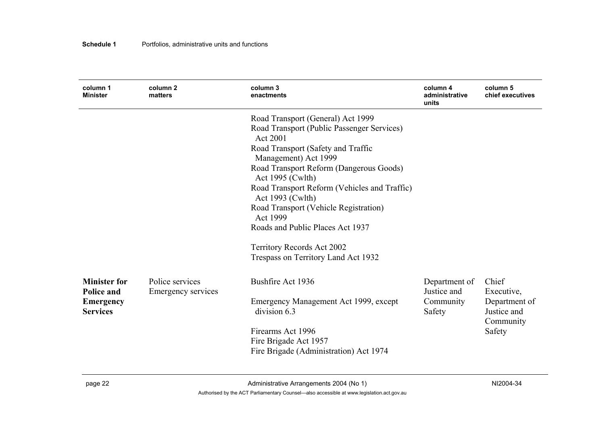| column 1<br><b>Minister</b>              | column 2<br>matters                   | column 3<br>enactments                                           | column 4<br>administrative<br>units | column 5<br>chief executives              |
|------------------------------------------|---------------------------------------|------------------------------------------------------------------|-------------------------------------|-------------------------------------------|
|                                          |                                       | Road Transport (General) Act 1999                                |                                     |                                           |
|                                          |                                       | Road Transport (Public Passenger Services)<br>Act 2001           |                                     |                                           |
|                                          |                                       | Road Transport (Safety and Traffic<br>Management) Act 1999       |                                     |                                           |
|                                          |                                       | Road Transport Reform (Dangerous Goods)<br>Act 1995 (Cwlth)      |                                     |                                           |
|                                          |                                       | Road Transport Reform (Vehicles and Traffic)<br>Act 1993 (Cwlth) |                                     |                                           |
|                                          |                                       | Road Transport (Vehicle Registration)<br>Act 1999                |                                     |                                           |
|                                          |                                       | Roads and Public Places Act 1937                                 |                                     |                                           |
|                                          |                                       | Territory Records Act 2002                                       |                                     |                                           |
|                                          |                                       | Trespass on Territory Land Act 1932                              |                                     |                                           |
| <b>Minister for</b><br><b>Police and</b> | Police services<br>Emergency services | Bushfire Act 1936                                                | Department of<br>Justice and        | Chief<br>Executive,                       |
| <b>Emergency</b><br><b>Services</b>      |                                       | Emergency Management Act 1999, except<br>division 6.3            | Community<br>Safety                 | Department of<br>Justice and<br>Community |
|                                          |                                       | Firearms Act 1996<br>Fire Brigade Act 1957                       |                                     | Safety                                    |
|                                          |                                       | Fire Brigade (Administration) Act 1974                           |                                     |                                           |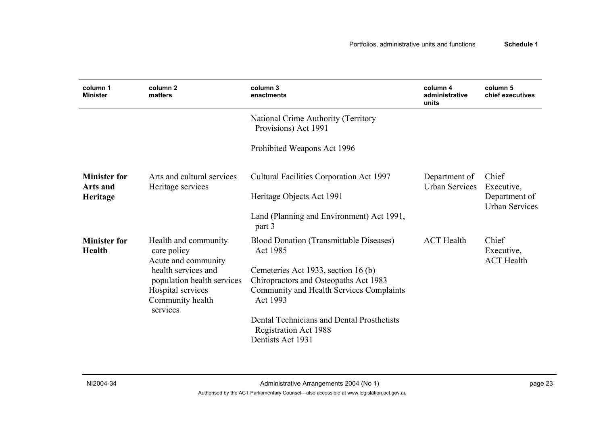| column 1<br><b>Minister</b>            | column <sub>2</sub><br>matters                             | column 3<br>enactments                                                     | column 4<br>administrative<br>units    | column 5<br>chief executives             |
|----------------------------------------|------------------------------------------------------------|----------------------------------------------------------------------------|----------------------------------------|------------------------------------------|
|                                        |                                                            | National Crime Authority (Territory<br>Provisions) Act 1991                |                                        |                                          |
|                                        |                                                            | Prohibited Weapons Act 1996                                                |                                        |                                          |
| <b>Minister for</b><br><b>Arts and</b> | Arts and cultural services<br>Heritage services            | Cultural Facilities Corporation Act 1997                                   | Department of<br><b>Urban Services</b> | Chief<br>Executive,                      |
| Heritage                               |                                                            | Heritage Objects Act 1991                                                  |                                        | Department of<br><b>Urban Services</b>   |
|                                        |                                                            | Land (Planning and Environment) Act 1991,<br>part 3                        |                                        |                                          |
| <b>Minister for</b><br><b>Health</b>   | Health and community<br>care policy<br>Acute and community | <b>Blood Donation (Transmittable Diseases)</b><br>Act 1985                 | <b>ACT Health</b>                      | Chief<br>Executive,<br><b>ACT Health</b> |
|                                        | health services and                                        | Cemeteries Act 1933, section 16 (b)                                        |                                        |                                          |
|                                        | population health services                                 | Chiropractors and Osteopaths Act 1983                                      |                                        |                                          |
|                                        | Hospital services<br>Community health<br>services          | <b>Community and Health Services Complaints</b><br>Act 1993                |                                        |                                          |
|                                        |                                                            | Dental Technicians and Dental Prosthetists<br><b>Registration Act 1988</b> |                                        |                                          |
|                                        |                                                            | Dentists Act 1931                                                          |                                        |                                          |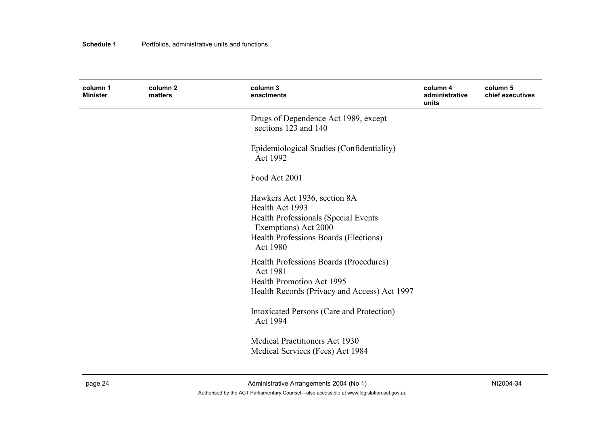| column 1<br><b>Minister</b> | column 2<br>matters | column 3<br>enactments                                                                                                                                                      | column 4<br>administrative<br>units | column 5<br>chief executives |
|-----------------------------|---------------------|-----------------------------------------------------------------------------------------------------------------------------------------------------------------------------|-------------------------------------|------------------------------|
|                             |                     | Drugs of Dependence Act 1989, except<br>sections 123 and 140                                                                                                                |                                     |                              |
|                             |                     | Epidemiological Studies (Confidentiality)<br>Act 1992                                                                                                                       |                                     |                              |
|                             |                     | Food Act 2001                                                                                                                                                               |                                     |                              |
|                             |                     | Hawkers Act 1936, section 8A<br>Health Act 1993<br><b>Health Professionals (Special Events</b><br>Exemptions) Act 2000<br>Health Professions Boards (Elections)<br>Act 1980 |                                     |                              |
|                             |                     | Health Professions Boards (Procedures)<br>Act 1981<br><b>Health Promotion Act 1995</b><br>Health Records (Privacy and Access) Act 1997                                      |                                     |                              |
|                             |                     | Intoxicated Persons (Care and Protection)<br>Act 1994                                                                                                                       |                                     |                              |
|                             |                     | <b>Medical Practitioners Act 1930</b><br>Medical Services (Fees) Act 1984                                                                                                   |                                     |                              |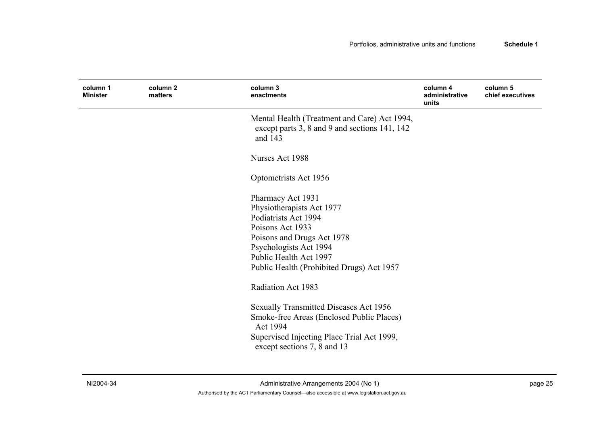| column 1<br><b>Minister</b> | column 2<br>matters | column 3<br>enactments                                                                                                                                                                                                    | column 4<br>administrative<br>units | column 5<br>chief executives |
|-----------------------------|---------------------|---------------------------------------------------------------------------------------------------------------------------------------------------------------------------------------------------------------------------|-------------------------------------|------------------------------|
|                             |                     | Mental Health (Treatment and Care) Act 1994,<br>except parts 3, 8 and 9 and sections 141, 142<br>and 143                                                                                                                  |                                     |                              |
|                             |                     | Nurses Act 1988                                                                                                                                                                                                           |                                     |                              |
|                             |                     | Optometrists Act 1956                                                                                                                                                                                                     |                                     |                              |
|                             |                     | Pharmacy Act 1931<br>Physiotherapists Act 1977<br>Podiatrists Act 1994<br>Poisons Act 1933<br>Poisons and Drugs Act 1978<br>Psychologists Act 1994<br>Public Health Act 1997<br>Public Health (Prohibited Drugs) Act 1957 |                                     |                              |
|                             |                     | Radiation Act 1983                                                                                                                                                                                                        |                                     |                              |
|                             |                     | <b>Sexually Transmitted Diseases Act 1956</b><br>Smoke-free Areas (Enclosed Public Places)<br>Act 1994<br>Supervised Injecting Place Trial Act 1999,<br>except sections 7, 8 and 13                                       |                                     |                              |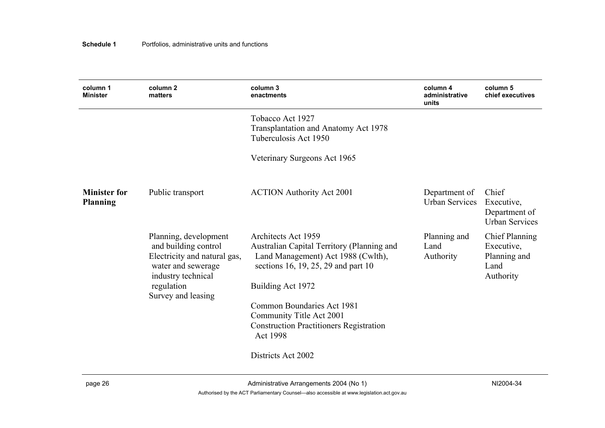| column 1<br><b>Minister</b>            | column <sub>2</sub><br>matters                                                                                                                                | column 3<br>enactments                                                                                                                                                                                                                                                                      | column 4<br>administrative<br>units    | column 5<br>chief executives                                             |
|----------------------------------------|---------------------------------------------------------------------------------------------------------------------------------------------------------------|---------------------------------------------------------------------------------------------------------------------------------------------------------------------------------------------------------------------------------------------------------------------------------------------|----------------------------------------|--------------------------------------------------------------------------|
|                                        |                                                                                                                                                               | Tobacco Act 1927<br>Transplantation and Anatomy Act 1978<br>Tuberculosis Act 1950                                                                                                                                                                                                           |                                        |                                                                          |
|                                        |                                                                                                                                                               | Veterinary Surgeons Act 1965                                                                                                                                                                                                                                                                |                                        |                                                                          |
| <b>Minister for</b><br><b>Planning</b> | Public transport                                                                                                                                              | <b>ACTION Authority Act 2001</b>                                                                                                                                                                                                                                                            | Department of<br><b>Urban Services</b> | Chief<br>Executive,<br>Department of<br><b>Urban Services</b>            |
|                                        | Planning, development<br>and building control<br>Electricity and natural gas,<br>water and sewerage<br>industry technical<br>regulation<br>Survey and leasing | Architects Act 1959<br>Australian Capital Territory (Planning and<br>Land Management) Act 1988 (Cwlth),<br>sections 16, 19, 25, 29 and part 10<br>Building Act 1972<br>Common Boundaries Act 1981<br>Community Title Act 2001<br><b>Construction Practitioners Registration</b><br>Act 1998 | Planning and<br>Land<br>Authority      | <b>Chief Planning</b><br>Executive,<br>Planning and<br>Land<br>Authority |
|                                        |                                                                                                                                                               | Districts Act 2002                                                                                                                                                                                                                                                                          |                                        |                                                                          |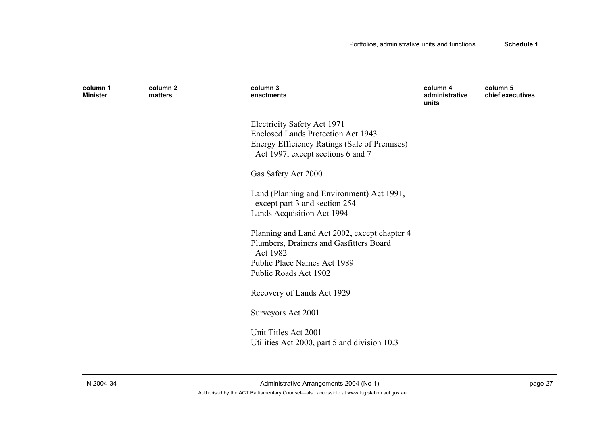| column 1<br><b>Minister</b> | column 2<br>matters | column 3<br>enactments                                                                  | column 4<br>administrative<br>units | column 5<br>chief executives |
|-----------------------------|---------------------|-----------------------------------------------------------------------------------------|-------------------------------------|------------------------------|
|                             |                     | Electricity Safety Act 1971                                                             |                                     |                              |
|                             |                     | <b>Enclosed Lands Protection Act 1943</b>                                               |                                     |                              |
|                             |                     | Energy Efficiency Ratings (Sale of Premises)<br>Act 1997, except sections 6 and 7       |                                     |                              |
|                             |                     | Gas Safety Act 2000                                                                     |                                     |                              |
|                             |                     | Land (Planning and Environment) Act 1991,<br>except part 3 and section 254              |                                     |                              |
|                             |                     | Lands Acquisition Act 1994                                                              |                                     |                              |
|                             |                     | Planning and Land Act 2002, except chapter 4<br>Plumbers, Drainers and Gasfitters Board |                                     |                              |
|                             |                     | Act 1982                                                                                |                                     |                              |
|                             |                     | Public Place Names Act 1989<br>Public Roads Act 1902                                    |                                     |                              |
|                             |                     | Recovery of Lands Act 1929                                                              |                                     |                              |
|                             |                     | Surveyors Act 2001                                                                      |                                     |                              |
|                             |                     | Unit Titles Act 2001<br>Utilities Act 2000, part 5 and division 10.3                    |                                     |                              |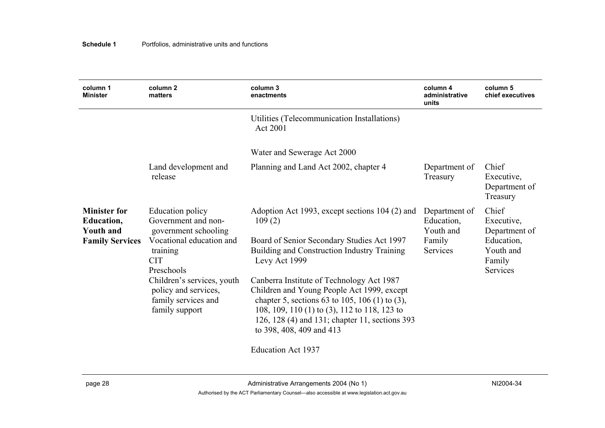| column 1<br><b>Minister</b>                                                            | column <sub>2</sub><br>matters                                                                                                                                                                                                     | column 3<br>enactments                                                                                                                                                                                                                                                                                                                                                                                                                            | column 4<br>administrative<br>units                            | column 5<br>chief executives                                                          |
|----------------------------------------------------------------------------------------|------------------------------------------------------------------------------------------------------------------------------------------------------------------------------------------------------------------------------------|---------------------------------------------------------------------------------------------------------------------------------------------------------------------------------------------------------------------------------------------------------------------------------------------------------------------------------------------------------------------------------------------------------------------------------------------------|----------------------------------------------------------------|---------------------------------------------------------------------------------------|
|                                                                                        |                                                                                                                                                                                                                                    | Utilities (Telecommunication Installations)<br>Act 2001                                                                                                                                                                                                                                                                                                                                                                                           |                                                                |                                                                                       |
|                                                                                        |                                                                                                                                                                                                                                    | Water and Sewerage Act 2000                                                                                                                                                                                                                                                                                                                                                                                                                       |                                                                |                                                                                       |
|                                                                                        | Land development and<br>release                                                                                                                                                                                                    | Planning and Land Act 2002, chapter 4                                                                                                                                                                                                                                                                                                                                                                                                             | Department of<br>Treasury                                      | Chief<br>Executive,<br>Department of<br>Treasury                                      |
| <b>Minister for</b><br><b>Education,</b><br><b>Youth and</b><br><b>Family Services</b> | Education policy<br>Government and non-<br>government schooling<br>Vocational education and<br>training<br><b>CIT</b><br>Preschools<br>Children's services, youth<br>policy and services,<br>family services and<br>family support | Adoption Act 1993, except sections 104 (2) and<br>109(2)<br>Board of Senior Secondary Studies Act 1997<br>Building and Construction Industry Training<br>Levy Act 1999<br>Canberra Institute of Technology Act 1987<br>Children and Young People Act 1999, except<br>chapter 5, sections 63 to 105, 106 (1) to (3),<br>108, 109, 110 (1) to (3), 112 to 118, 123 to<br>126, 128 (4) and 131; chapter 11, sections 393<br>to 398, 408, 409 and 413 | Department of<br>Education,<br>Youth and<br>Family<br>Services | Chief<br>Executive,<br>Department of<br>Education,<br>Youth and<br>Family<br>Services |

Education Act 1937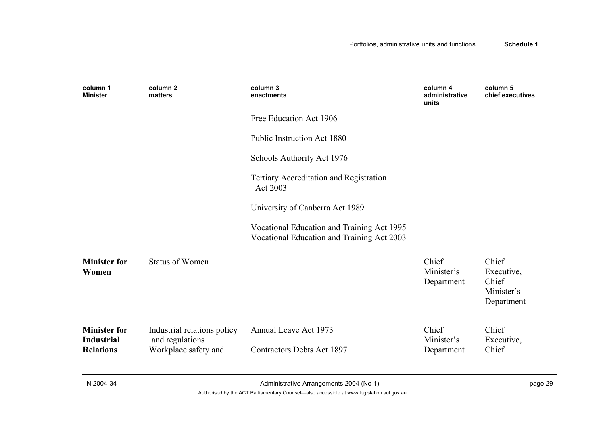| column 1<br><b>Minister</b>                                  | column <sub>2</sub><br>matters                                         | column 3<br>enactments                                                                   | column 4<br>administrative<br>units | column 5<br>chief executives                             |
|--------------------------------------------------------------|------------------------------------------------------------------------|------------------------------------------------------------------------------------------|-------------------------------------|----------------------------------------------------------|
|                                                              |                                                                        | Free Education Act 1906                                                                  |                                     |                                                          |
|                                                              |                                                                        | <b>Public Instruction Act 1880</b>                                                       |                                     |                                                          |
|                                                              |                                                                        | Schools Authority Act 1976                                                               |                                     |                                                          |
|                                                              |                                                                        | Tertiary Accreditation and Registration<br>Act 2003                                      |                                     |                                                          |
|                                                              |                                                                        | University of Canberra Act 1989                                                          |                                     |                                                          |
|                                                              |                                                                        | Vocational Education and Training Act 1995<br>Vocational Education and Training Act 2003 |                                     |                                                          |
| <b>Minister for</b><br>Women                                 | Status of Women                                                        |                                                                                          | Chief<br>Minister's<br>Department   | Chief<br>Executive,<br>Chief<br>Minister's<br>Department |
| <b>Minister for</b><br><b>Industrial</b><br><b>Relations</b> | Industrial relations policy<br>and regulations<br>Workplace safety and | Annual Leave Act 1973<br><b>Contractors Debts Act 1897</b>                               | Chief<br>Minister's<br>Department   | Chief<br>Executive,<br>Chief                             |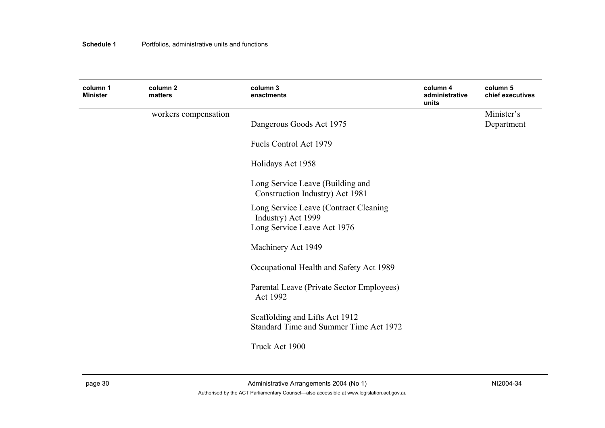| column 1<br><b>Minister</b> | column 2<br>matters  | column 3<br>enactments                    | column 4<br>administrative<br>units | column 5<br>chief executives |
|-----------------------------|----------------------|-------------------------------------------|-------------------------------------|------------------------------|
|                             | workers compensation |                                           |                                     | Minister's                   |
|                             |                      | Dangerous Goods Act 1975                  |                                     | Department                   |
|                             |                      | Fuels Control Act 1979                    |                                     |                              |
|                             |                      | Holidays Act 1958                         |                                     |                              |
|                             |                      | Long Service Leave (Building and          |                                     |                              |
|                             |                      | Construction Industry) Act 1981           |                                     |                              |
|                             |                      | Long Service Leave (Contract Cleaning     |                                     |                              |
|                             |                      | Industry) Act 1999                        |                                     |                              |
|                             |                      | Long Service Leave Act 1976               |                                     |                              |
|                             |                      | Machinery Act 1949                        |                                     |                              |
|                             |                      | Occupational Health and Safety Act 1989   |                                     |                              |
|                             |                      | Parental Leave (Private Sector Employees) |                                     |                              |
|                             |                      | Act 1992                                  |                                     |                              |
|                             |                      | Scaffolding and Lifts Act 1912            |                                     |                              |
|                             |                      | Standard Time and Summer Time Act 1972    |                                     |                              |
|                             |                      | Truck Act 1900                            |                                     |                              |